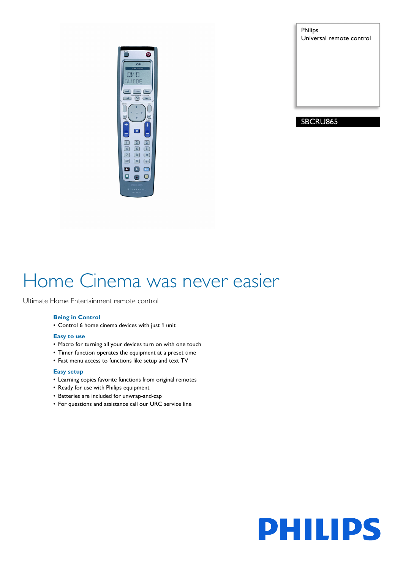

Philips Universal remote control

# SBCRU865

# Home Cinema was never easier

Ultimate Home Entertainment remote control

# **Being in Control**

• Control 6 home cinema devices with just 1 unit

# **Easy to use**

- Macro for turning all your devices turn on with one touch
- Timer function operates the equipment at a preset time
- Fast menu access to functions like setup and text TV

# **Easy setup**

- Learning copies favorite functions from original remotes
- Ready for use with Philips equipment
- Batteries are included for unwrap-and-zap
- For questions and assistance call our URC service line